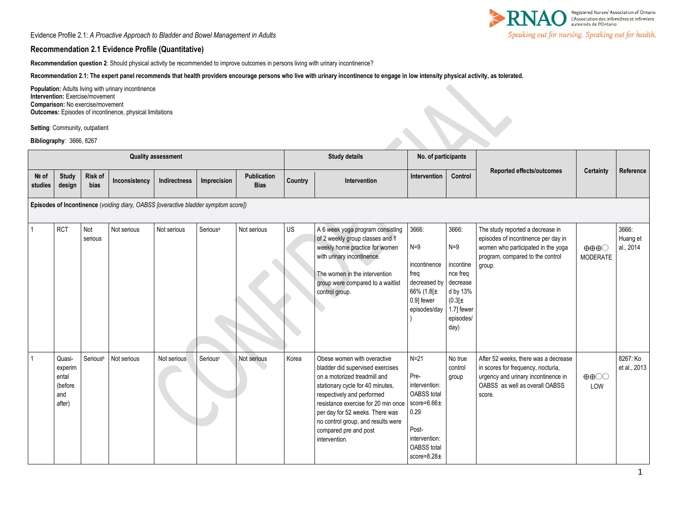Evidence Profile 2.1: *A Proactive Approach to Bladder and Bowel Management in Adults*

## **Recommendation 2.1 Evidence Profile (Quantitative)**

**Recommendation question 2**: Should physical activity be recommended to improve outcomes in persons living with urinary incontinence?

**Recommendation 2.1: The expert panel recommends that health providers encourage persons who live with urinary incontinence to engage in low intensity physical activity, as tolerated.** 

**Population:** Adults living with urinary incontinence **Intervention:** Exercise/movement **Comparison:** No exercise/movement **Outcomes:** Episodes of incontinence, physical limitations

|                                                                                    |                                                            | <b>Intervention: Exercise/movement</b><br>Comparison: No exercise/movement | <b>Population:</b> Adults living with urinary incontinence<br>Outcomes: Episodes of incontinence, physical limitations |                     |                      |                            |           |                                                                                                                                                                                                                                                                                                                             |                                                                                                                                                       |                                                                                                               |                                                                                                                                                               |                                                    |                                |
|------------------------------------------------------------------------------------|------------------------------------------------------------|----------------------------------------------------------------------------|------------------------------------------------------------------------------------------------------------------------|---------------------|----------------------|----------------------------|-----------|-----------------------------------------------------------------------------------------------------------------------------------------------------------------------------------------------------------------------------------------------------------------------------------------------------------------------------|-------------------------------------------------------------------------------------------------------------------------------------------------------|---------------------------------------------------------------------------------------------------------------|---------------------------------------------------------------------------------------------------------------------------------------------------------------|----------------------------------------------------|--------------------------------|
|                                                                                    | Setting: Community, outpatient<br>Bibliography: 3666, 8267 |                                                                            |                                                                                                                        |                     |                      |                            |           |                                                                                                                                                                                                                                                                                                                             |                                                                                                                                                       |                                                                                                               |                                                                                                                                                               |                                                    |                                |
| <b>Quality assessment</b>                                                          |                                                            |                                                                            |                                                                                                                        |                     |                      |                            |           | <b>Study details</b>                                                                                                                                                                                                                                                                                                        | No. of participants                                                                                                                                   |                                                                                                               |                                                                                                                                                               |                                                    |                                |
| Nº of<br>studies                                                                   | <b>Study</b><br>design                                     | <b>Risk of</b><br>bias                                                     | Inconsistency                                                                                                          | <b>Indirectness</b> | Imprecision          | Publication<br><b>Bias</b> | Country   | Intervention                                                                                                                                                                                                                                                                                                                | Intervention                                                                                                                                          | Control                                                                                                       | <b>Reported effects/outcomes</b>                                                                                                                              | <b>Certainty</b>                                   | Reference                      |
| Episodes of Incontinence (voiding diary, OABSS [overactive bladder symptom score]) |                                                            |                                                                            |                                                                                                                        |                     |                      |                            |           |                                                                                                                                                                                                                                                                                                                             |                                                                                                                                                       |                                                                                                               |                                                                                                                                                               |                                                    |                                |
|                                                                                    | <b>RCT</b>                                                 | Not<br>serious                                                             | Not serious                                                                                                            | Not serious         | Serious <sup>a</sup> | Not serious                | <b>US</b> | A 6 week yoga program consisting<br>of 2 weekly group classes and 1<br>weekly home practice for women<br>with urinary incontinence.<br>The women in the intervention<br>group were compared to a waitlist<br>control group.                                                                                                 | 3666:<br>$N=9$<br>incontinence<br>freq<br>decreased by<br>66% (1.8[ $\pm$<br>0.9] fewer<br>episodes/day                                               | 3666:<br>$N=9$<br>incontine<br>nce freq<br>decrease<br>d by 13%<br>(0.3[±]<br>1.7] fewer<br>episodes/<br>day) | The study reported a decrease in<br>episodes of incontinence per day in<br>women who participated in the yoga<br>program, compared to the control<br>group.   | $\oplus \oplus \oplus \bigcirc$<br><b>MODERATE</b> | 3666:<br>Huang et<br>al., 2014 |
| $\mathbf{1}$                                                                       | Quasi-<br>experim<br>ental<br>(before<br>and<br>after)     | Seriousb                                                                   | Not serious                                                                                                            | Not serious         | Serious <sup>c</sup> | Not serious                | Korea     | Obese women with overactive<br>bladder did supervised exercises<br>on a motorized treadmill and<br>stationary cycle for 40 minutes,<br>respectively and performed<br>resistance exercise for 20 min once<br>per day for 52 weeks. There was<br>no control group, and results were<br>compared pre and post<br>intervention. | $N=21$<br>Pre-<br>intervention:<br><b>OABSS</b> total<br>score= $6.66\pm$<br>0.29<br>Post-<br>intervention:<br><b>OABSS</b> total<br>score= $8.28\pm$ | No true<br>control<br>group                                                                                   | After 52 weeks, there was a decrease<br>in scores for frequency, nocturia,<br>urgency and urinary incontinence in<br>OABSS as well as overall OABSS<br>score. | $\oplus \oplus \odot \odot$<br>LOW                 | 8267: Ko<br>et al., 2013       |